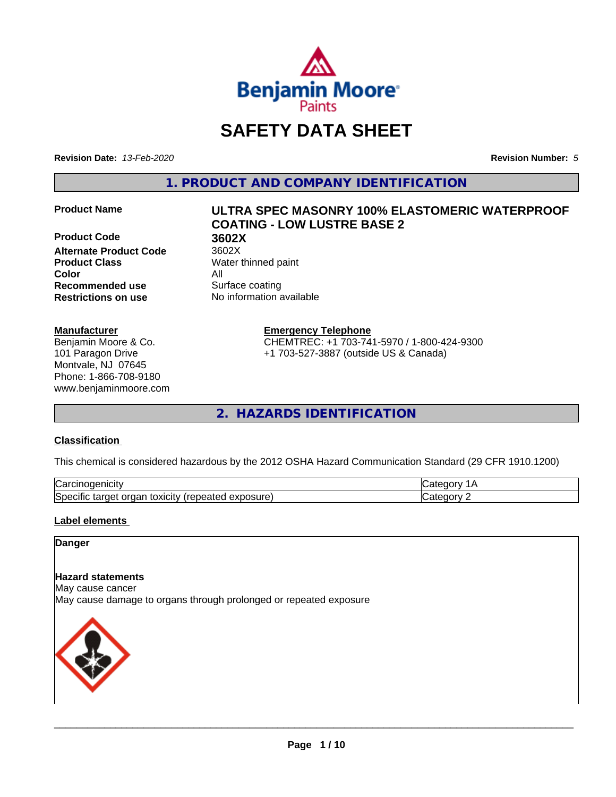

# **SAFETY DATA SHEET**

**Revision Date:** *13-Feb-2020* **Revision Number:** *5*

**1. PRODUCT AND COMPANY IDENTIFICATION**

**Product Code 61 3602X**<br>**Alternate Product Code** 3602X **Alternate Product Code Product Class** Water thinned paint **Color** All **Recommended use** Surface coating **Restrictions on use** No information available

### **Manufacturer**

Benjamin Moore & Co. 101 Paragon Drive Montvale, NJ 07645 Phone: 1-866-708-9180 www.benjaminmoore.com

# **Product Name ULTRA SPEC MASONRY 100% ELASTOMERIC WATERPROOF COATING - LOW LUSTRE BASE 2**

**Emergency Telephone**

CHEMTREC: +1 703-741-5970 / 1-800-424-9300 +1 703-527-3887 (outside US & Canada)

**2. HAZARDS IDENTIFICATION**

### **Classification**

This chemical is considered hazardous by the 2012 OSHA Hazard Communication Standard (29 CFR 1910.1200)

| ⌒<br>.<br>"Jarc™<br>пісн<br>…u⊔∪∪ ≔                                                 | ----     |
|-------------------------------------------------------------------------------------|----------|
| exposure<br>. .<br>toxicity<br>50e<br>ordar<br>arger :<br>энк<br>.<br>calcu<br>50.U | ----<br> |

### **Label elements**

### **Danger**

### **Hazard statements**

May cause cancer

May cause damage to organs through prolonged or repeated exposure

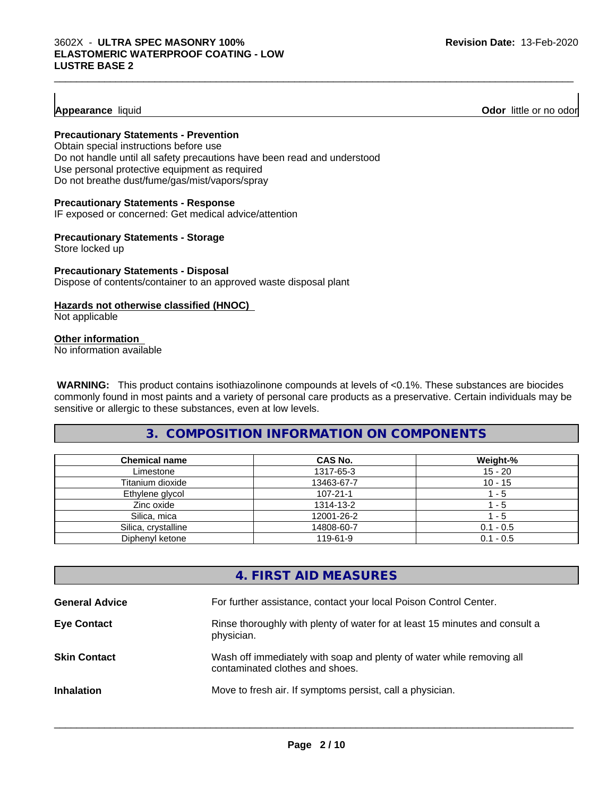### **Appearance** liquid **Odor 11** and **Odor 11** and **Odor 11** and **Odor 11** and **Odor 11** and **Odor 11** and **Odor** 11 and **Odor** 11 and **Odor** 11 and **Odor** 11 and **Odor** 11 and **Odor** 11 and **Odor** 11 and **Odor** 11 and **Odor**

### **Precautionary Statements - Prevention**

Obtain special instructions before use Do not handle until all safety precautions have been read and understood Use personal protective equipment as required Do not breathe dust/fume/gas/mist/vapors/spray

### **Precautionary Statements - Response**

IF exposed or concerned: Get medical advice/attention

### **Precautionary Statements - Storage**

Store locked up

### **Precautionary Statements - Disposal** Dispose of contents/container to an approved waste disposal plant

### **Hazards not otherwise classified (HNOC)**

Not applicable

### **Other information**

No information available

 **WARNING:** This product contains isothiazolinone compounds at levels of <0.1%. These substances are biocides commonly found in most paints and a variety of personal care products as a preservative. Certain individuals may be sensitive or allergic to these substances, even at low levels.

 $\_$  ,  $\_$  ,  $\_$  ,  $\_$  ,  $\_$  ,  $\_$  ,  $\_$  ,  $\_$  ,  $\_$  ,  $\_$  ,  $\_$  ,  $\_$  ,  $\_$  ,  $\_$  ,  $\_$  ,  $\_$  ,  $\_$  ,  $\_$  ,  $\_$  ,  $\_$  ,  $\_$  ,  $\_$  ,  $\_$  ,  $\_$  ,  $\_$  ,  $\_$  ,  $\_$  ,  $\_$  ,  $\_$  ,  $\_$  ,  $\_$  ,  $\_$  ,  $\_$  ,  $\_$  ,  $\_$  ,  $\_$  ,  $\_$  ,

### **3. COMPOSITION INFORMATION ON COMPONENTS**

| <b>Chemical name</b> | CAS No.        | Weight-%    |
|----------------------|----------------|-------------|
| Limestone            | 1317-65-3      | $15 - 20$   |
| Titanium dioxide     | 13463-67-7     | $10 - 15$   |
| Ethylene glycol      | $107 - 21 - 1$ | - 5         |
| Zinc oxide           | 1314-13-2      | - 5         |
| Silica, mica         | 12001-26-2     | - 5         |
| Silica, crystalline  | 14808-60-7     | $0.1 - 0.5$ |
| Diphenyl ketone      | 119-61-9       | $0.1 - 0.5$ |

# **4. FIRST AID MEASURES**

| <b>General Advice</b> | For further assistance, contact your local Poison Control Center.                                        |
|-----------------------|----------------------------------------------------------------------------------------------------------|
| <b>Eye Contact</b>    | Rinse thoroughly with plenty of water for at least 15 minutes and consult a<br>physician.                |
| <b>Skin Contact</b>   | Wash off immediately with soap and plenty of water while removing all<br>contaminated clothes and shoes. |
| <b>Inhalation</b>     | Move to fresh air. If symptoms persist, call a physician.                                                |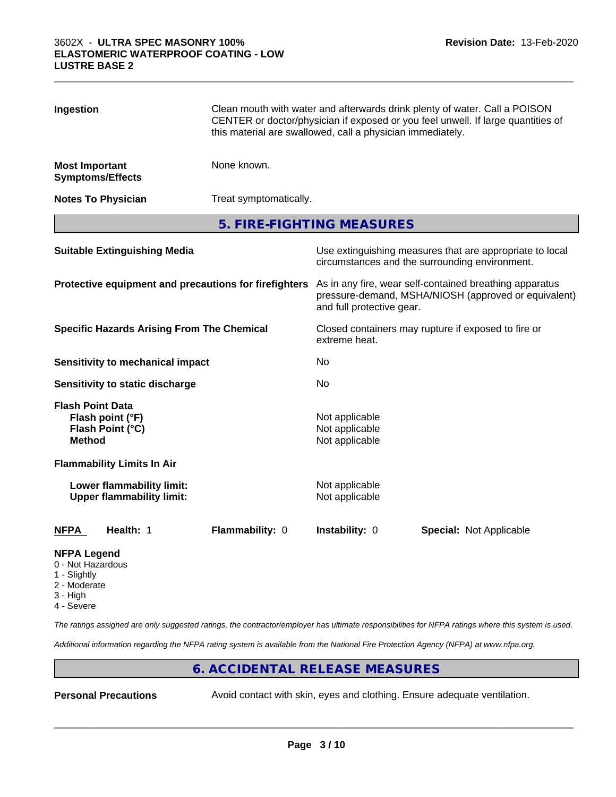| Ingestion                                             |                                                               | Clean mouth with water and afterwards drink plenty of water. Call a POISON<br>CENTER or doctor/physician if exposed or you feel unwell. If large quantities of<br>this material are swallowed, call a physician immediately. |                                                    |                                                                                                            |  |
|-------------------------------------------------------|---------------------------------------------------------------|------------------------------------------------------------------------------------------------------------------------------------------------------------------------------------------------------------------------------|----------------------------------------------------|------------------------------------------------------------------------------------------------------------|--|
| <b>Most Important</b>                                 | <b>Symptoms/Effects</b>                                       | None known.                                                                                                                                                                                                                  |                                                    |                                                                                                            |  |
|                                                       | <b>Notes To Physician</b>                                     | Treat symptomatically.                                                                                                                                                                                                       |                                                    |                                                                                                            |  |
|                                                       |                                                               | 5. FIRE-FIGHTING MEASURES                                                                                                                                                                                                    |                                                    |                                                                                                            |  |
|                                                       | <b>Suitable Extinguishing Media</b>                           |                                                                                                                                                                                                                              |                                                    | Use extinguishing measures that are appropriate to local<br>circumstances and the surrounding environment. |  |
| Protective equipment and precautions for firefighters |                                                               | As in any fire, wear self-contained breathing apparatus<br>pressure-demand, MSHA/NIOSH (approved or equivalent)<br>and full protective gear.                                                                                 |                                                    |                                                                                                            |  |
| <b>Specific Hazards Arising From The Chemical</b>     |                                                               | Closed containers may rupture if exposed to fire or<br>extreme heat.                                                                                                                                                         |                                                    |                                                                                                            |  |
|                                                       | <b>Sensitivity to mechanical impact</b>                       |                                                                                                                                                                                                                              | No                                                 |                                                                                                            |  |
|                                                       | Sensitivity to static discharge                               |                                                                                                                                                                                                                              | No                                                 |                                                                                                            |  |
| <b>Flash Point Data</b><br><b>Method</b>              | Flash point (°F)<br>Flash Point (°C)                          |                                                                                                                                                                                                                              | Not applicable<br>Not applicable<br>Not applicable |                                                                                                            |  |
|                                                       | <b>Flammability Limits In Air</b>                             |                                                                                                                                                                                                                              |                                                    |                                                                                                            |  |
|                                                       | Lower flammability limit:<br><b>Upper flammability limit:</b> |                                                                                                                                                                                                                              | Not applicable<br>Not applicable                   |                                                                                                            |  |
| <b>NFPA</b>                                           | Health: 1                                                     | Flammability: 0                                                                                                                                                                                                              | Instability: 0                                     | Special: Not Applicable                                                                                    |  |
| <b>NFPA Legend</b><br>0 - Not Hazardous               |                                                               |                                                                                                                                                                                                                              |                                                    |                                                                                                            |  |

 $\_$  ,  $\_$  ,  $\_$  ,  $\_$  ,  $\_$  ,  $\_$  ,  $\_$  ,  $\_$  ,  $\_$  ,  $\_$  ,  $\_$  ,  $\_$  ,  $\_$  ,  $\_$  ,  $\_$  ,  $\_$  ,  $\_$  ,  $\_$  ,  $\_$  ,  $\_$  ,  $\_$  ,  $\_$  ,  $\_$  ,  $\_$  ,  $\_$  ,  $\_$  ,  $\_$  ,  $\_$  ,  $\_$  ,  $\_$  ,  $\_$  ,  $\_$  ,  $\_$  ,  $\_$  ,  $\_$  ,  $\_$  ,  $\_$  ,

- 1 Slightly
- 2 Moderate
- 3 High
- 4 Severe

*The ratings assigned are only suggested ratings, the contractor/employer has ultimate responsibilities for NFPA ratings where this system is used.*

*Additional information regarding the NFPA rating system is available from the National Fire Protection Agency (NFPA) at www.nfpa.org.*

# **6. ACCIDENTAL RELEASE MEASURES**

**Personal Precautions** Avoid contact with skin, eyes and clothing. Ensure adequate ventilation.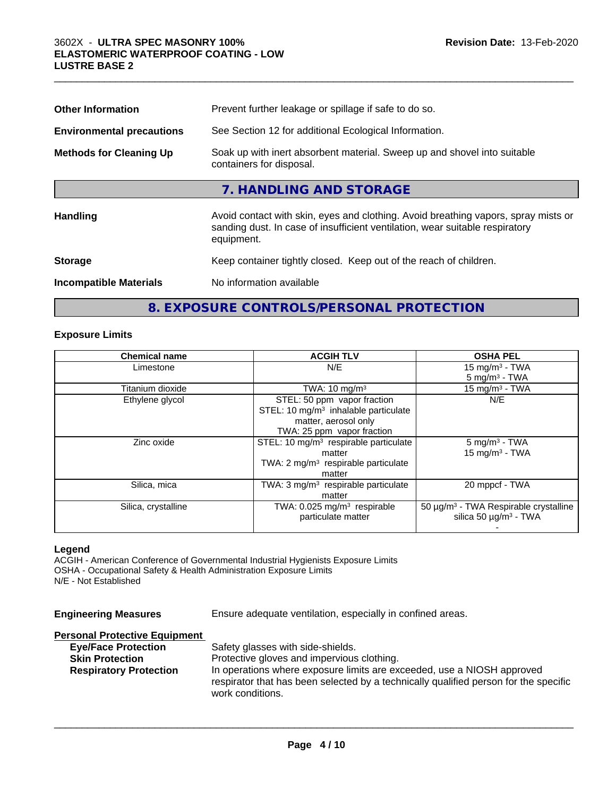| <b>Other Information</b>         | Prevent further leakage or spillage if safe to do so.                                                                                                                            |
|----------------------------------|----------------------------------------------------------------------------------------------------------------------------------------------------------------------------------|
| <b>Environmental precautions</b> | See Section 12 for additional Ecological Information.                                                                                                                            |
| <b>Methods for Cleaning Up</b>   | Soak up with inert absorbent material. Sweep up and shovel into suitable<br>containers for disposal.                                                                             |
|                                  | 7. HANDLING AND STORAGE                                                                                                                                                          |
| Handling                         | Avoid contact with skin, eyes and clothing. Avoid breathing vapors, spray mists or<br>sanding dust. In case of insufficient ventilation, wear suitable respiratory<br>equipment. |
| <b>Storage</b>                   | Keep container tightly closed. Keep out of the reach of children.                                                                                                                |
| <b>Incompatible Materials</b>    | No information available                                                                                                                                                         |

 $\_$  ,  $\_$  ,  $\_$  ,  $\_$  ,  $\_$  ,  $\_$  ,  $\_$  ,  $\_$  ,  $\_$  ,  $\_$  ,  $\_$  ,  $\_$  ,  $\_$  ,  $\_$  ,  $\_$  ,  $\_$  ,  $\_$  ,  $\_$  ,  $\_$  ,  $\_$  ,  $\_$  ,  $\_$  ,  $\_$  ,  $\_$  ,  $\_$  ,  $\_$  ,  $\_$  ,  $\_$  ,  $\_$  ,  $\_$  ,  $\_$  ,  $\_$  ,  $\_$  ,  $\_$  ,  $\_$  ,  $\_$  ,  $\_$  ,

# **8. EXPOSURE CONTROLS/PERSONAL PROTECTION**

### **Exposure Limits**

| <b>Chemical name</b> | <b>ACGIH TLV</b>                                  | <b>OSHA PEL</b>                                   |
|----------------------|---------------------------------------------------|---------------------------------------------------|
| Limestone            | N/E                                               | 15 mg/m $3$ - TWA                                 |
|                      |                                                   | $5 \text{ mg/m}^3$ - TWA                          |
| Titanium dioxide     | TWA: $10 \text{ mg/m}^3$                          | 15 mg/m $3$ - TWA                                 |
| Ethylene glycol      | STEL: 50 ppm vapor fraction                       | N/E                                               |
|                      | STEL: 10 $mg/m3$ inhalable particulate            |                                                   |
|                      | matter, aerosol only                              |                                                   |
|                      | TWA: 25 ppm vapor fraction                        |                                                   |
| Zinc oxide           | STEL: 10 mg/m <sup>3</sup> respirable particulate | $5 \text{ mg/m}^3$ - TWA                          |
|                      | matter                                            | $15$ mg/m <sup>3</sup> - TWA                      |
|                      | TWA: $2 \text{ mg/m}^3$ respirable particulate    |                                                   |
|                      | matter                                            |                                                   |
| Silica, mica         | TWA: $3 \text{ mg/m}^3$ respirable particulate    | 20 mppcf - TWA                                    |
|                      | matter                                            |                                                   |
| Silica, crystalline  | TWA: $0.025$ mg/m <sup>3</sup> respirable         | 50 µg/m <sup>3</sup> - TWA Respirable crystalline |
|                      | particulate matter                                | silica 50 $\mu$ g/m <sup>3</sup> - TWA            |
|                      |                                                   |                                                   |

### **Legend**

ACGIH - American Conference of Governmental Industrial Hygienists Exposure Limits OSHA - Occupational Safety & Health Administration Exposure Limits N/E - Not Established

| <b>Engineering Measures</b>                                                                                                   | Ensure adequate ventilation, especially in confined areas.                                                                                                                                                                                                            |
|-------------------------------------------------------------------------------------------------------------------------------|-----------------------------------------------------------------------------------------------------------------------------------------------------------------------------------------------------------------------------------------------------------------------|
| <b>Personal Protective Equipment</b><br><b>Eye/Face Protection</b><br><b>Skin Protection</b><br><b>Respiratory Protection</b> | Safety glasses with side-shields.<br>Protective gloves and impervious clothing.<br>In operations where exposure limits are exceeded, use a NIOSH approved<br>respirator that has been selected by a technically qualified person for the specific<br>work conditions. |
|                                                                                                                               |                                                                                                                                                                                                                                                                       |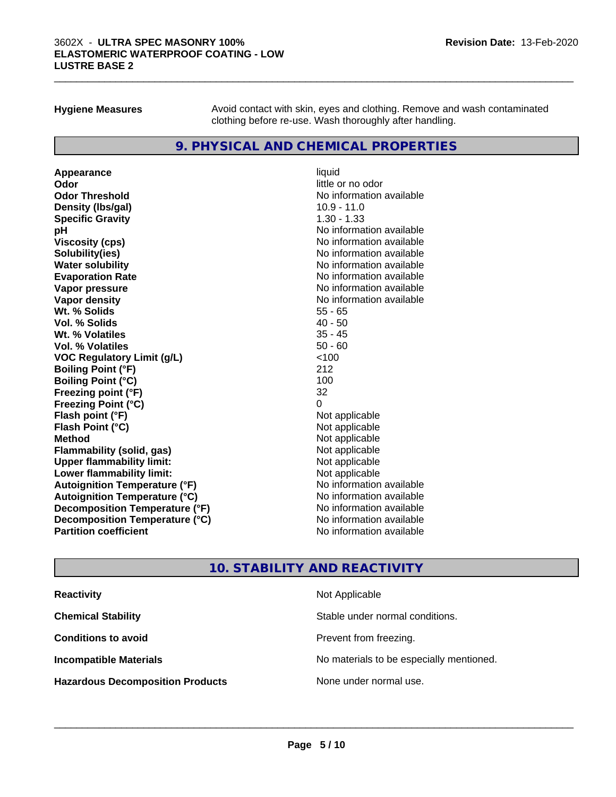**Hygiene Measures** Avoid contact with skin, eyes and clothing. Remove and wash contaminated clothing before re-use. Wash thoroughly after handling.

 $\_$  ,  $\_$  ,  $\_$  ,  $\_$  ,  $\_$  ,  $\_$  ,  $\_$  ,  $\_$  ,  $\_$  ,  $\_$  ,  $\_$  ,  $\_$  ,  $\_$  ,  $\_$  ,  $\_$  ,  $\_$  ,  $\_$  ,  $\_$  ,  $\_$  ,  $\_$  ,  $\_$  ,  $\_$  ,  $\_$  ,  $\_$  ,  $\_$  ,  $\_$  ,  $\_$  ,  $\_$  ,  $\_$  ,  $\_$  ,  $\_$  ,  $\_$  ,  $\_$  ,  $\_$  ,  $\_$  ,  $\_$  ,  $\_$  ,

### **9. PHYSICAL AND CHEMICAL PROPERTIES**

**Appearance** liquid **Odor** little or no odor **Odor Threshold No information available** No information available **Density (Ibs/gal)** 10.9 - 11.0 **Specific Gravity** 1.30 - 1.33 **pH** No information available **Viscosity (cps)** No information available **Solubility(ies)** No information available **Evaporation Rate No information available No information available Vapor pressure** No information available **Vapor density No information available No** information available **Wt. % Solids** 55 - 65 **Vol. % Solids** 40 - 50 **Wt. % Volatiles Vol. % Volatiles** 50 - 60 **VOC Regulatory Limit (g/L)** <100 **Boiling Point (°F)** 212 **Boiling Point (°C)** 100 **Freezing point (°F)** 32 **Freezing Point (°C)**<br> **Flash point (°F)**<br> **Flash point (°F)**<br> **Point (°F)**<br> **Point (°F)**<br> **Point (°F)**<br> **Point (°F)**<br> **Point (°F) Flash point (°F) Flash Point (°C)** Not applicable **Method** Not applicable **Flammability (solid, gas)** Not applicable<br> **Upper flammability limit:** Not applicable **Upper flammability limit: Lower flammability limit:** Not applicable **Autoignition Temperature (°F)** No information available **Autoignition Temperature (°C)** No information available **Decomposition Temperature (°F)** No information available **Decomposition Temperature (°C)** No information available **Partition coefficient** No information available

# **No information available**

# **10. STABILITY AND REACTIVITY**

| <b>Reactivity</b>                       | Not Applicable                           |
|-----------------------------------------|------------------------------------------|
| <b>Chemical Stability</b>               | Stable under normal conditions.          |
| <b>Conditions to avoid</b>              | Prevent from freezing.                   |
| <b>Incompatible Materials</b>           | No materials to be especially mentioned. |
| <b>Hazardous Decomposition Products</b> | None under normal use.                   |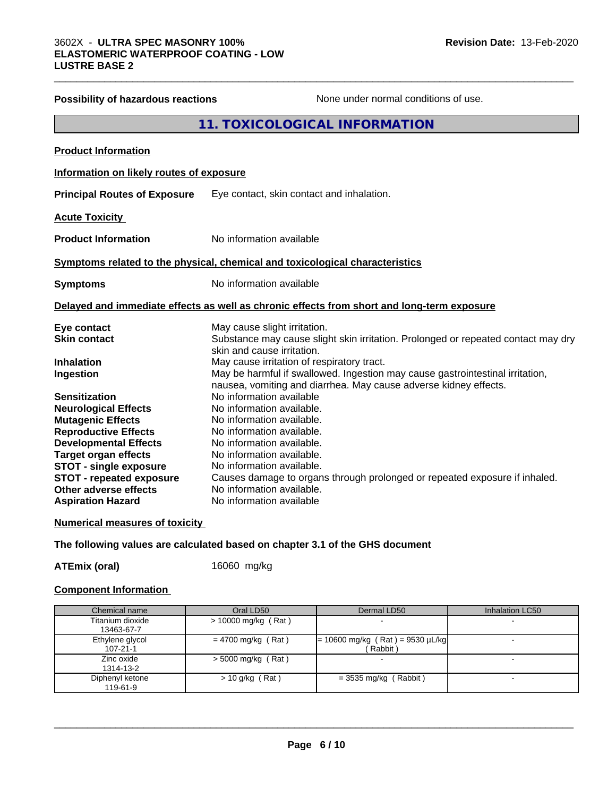|                                          | <b>11. TOXICOLOGICAL INFORMATION</b>                                                                            |
|------------------------------------------|-----------------------------------------------------------------------------------------------------------------|
| <b>Product Information</b>               |                                                                                                                 |
| Information on likely routes of exposure |                                                                                                                 |
| <b>Principal Routes of Exposure</b>      | Eye contact, skin contact and inhalation.                                                                       |
| <b>Acute Toxicity</b>                    |                                                                                                                 |
| <b>Product Information</b>               | No information available                                                                                        |
|                                          | Symptoms related to the physical, chemical and toxicological characteristics                                    |
| <b>Symptoms</b>                          | No information available                                                                                        |
|                                          | Delayed and immediate effects as well as chronic effects from short and long-term exposure                      |
| Eye contact                              | May cause slight irritation.                                                                                    |
| <b>Skin contact</b>                      | Substance may cause slight skin irritation. Prolonged or repeated contact may dry<br>skin and cause irritation. |
| <b>Inhalation</b>                        | May cause irritation of respiratory tract.                                                                      |
| Ingestion                                | May be harmful if swallowed. Ingestion may cause gastrointestinal irritation,                                   |
|                                          | nausea, vomiting and diarrhea. May cause adverse kidney effects.                                                |
| <b>Sensitization</b>                     | No information available                                                                                        |
| <b>Neurological Effects</b>              | No information available.                                                                                       |
| <b>Mutagenic Effects</b>                 | No information available.                                                                                       |
| <b>Reproductive Effects</b>              | No information available.                                                                                       |
| <b>Developmental Effects</b>             | No information available.                                                                                       |
| <b>Target organ effects</b>              | No information available.                                                                                       |
| <b>STOT - single exposure</b>            | No information available.                                                                                       |
| <b>STOT - repeated exposure</b>          | Causes damage to organs through prolonged or repeated exposure if inhaled.                                      |
| <b>Other adverse effects</b>             | No information available.                                                                                       |
| <b>Aspiration Hazard</b>                 | No information available                                                                                        |

**Possibility of hazardous reactions** None under normal conditions of use.

 $\_$  ,  $\_$  ,  $\_$  ,  $\_$  ,  $\_$  ,  $\_$  ,  $\_$  ,  $\_$  ,  $\_$  ,  $\_$  ,  $\_$  ,  $\_$  ,  $\_$  ,  $\_$  ,  $\_$  ,  $\_$  ,  $\_$  ,  $\_$  ,  $\_$  ,  $\_$  ,  $\_$  ,  $\_$  ,  $\_$  ,  $\_$  ,  $\_$  ,  $\_$  ,  $\_$  ,  $\_$  ,  $\_$  ,  $\_$  ,  $\_$  ,  $\_$  ,  $\_$  ,  $\_$  ,  $\_$  ,  $\_$  ,  $\_$  ,

### **Numerical measures of toxicity**

**The following values are calculated based on chapter 3.1 of the GHS document**

**ATEmix (oral)** 16060 mg/kg

### **Component Information**

| Chemical name                     | Oral LD50            | Dermal LD50                                    | Inhalation LC50 |
|-----------------------------------|----------------------|------------------------------------------------|-----------------|
| Titanium dioxide<br>13463-67-7    | > 10000 mg/kg (Rat)  |                                                |                 |
| Ethylene glycol<br>$107 - 21 - 1$ | $= 4700$ mg/kg (Rat) | $= 10600$ mg/kg (Rat) = 9530 µL/kg<br>(Rabbit) |                 |
| Zinc oxide<br>1314-13-2           | $>$ 5000 mg/kg (Rat) |                                                |                 |
| Diphenyl ketone<br>119-61-9       | $> 10$ g/kg (Rat)    | $=$ 3535 mg/kg (Rabbit)                        |                 |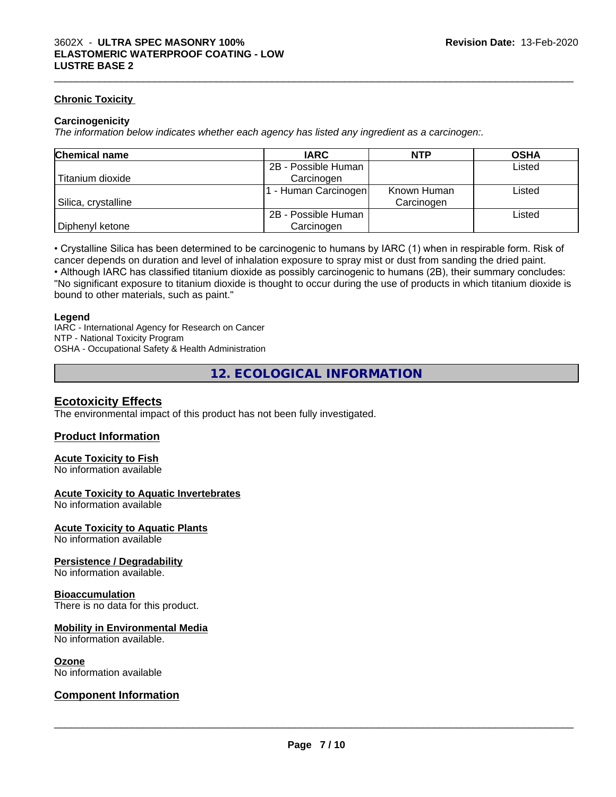### **Chronic Toxicity**

### **Carcinogenicity**

*The information below indicateswhether each agency has listed any ingredient as a carcinogen:.*

| <b>Chemical name</b> | <b>IARC</b>         | <b>NTP</b>  | <b>OSHA</b> |
|----------------------|---------------------|-------------|-------------|
|                      | 2B - Possible Human |             | Listed      |
| Titanium dioxide     | Carcinogen          |             |             |
|                      | - Human Carcinogen  | Known Human | Listed      |
| Silica, crystalline  |                     | Carcinogen  |             |
|                      | 2B - Possible Human |             | Listed      |
| Diphenyl ketone      | Carcinogen          |             |             |

 $\_$  ,  $\_$  ,  $\_$  ,  $\_$  ,  $\_$  ,  $\_$  ,  $\_$  ,  $\_$  ,  $\_$  ,  $\_$  ,  $\_$  ,  $\_$  ,  $\_$  ,  $\_$  ,  $\_$  ,  $\_$  ,  $\_$  ,  $\_$  ,  $\_$  ,  $\_$  ,  $\_$  ,  $\_$  ,  $\_$  ,  $\_$  ,  $\_$  ,  $\_$  ,  $\_$  ,  $\_$  ,  $\_$  ,  $\_$  ,  $\_$  ,  $\_$  ,  $\_$  ,  $\_$  ,  $\_$  ,  $\_$  ,  $\_$  ,

• Crystalline Silica has been determined to be carcinogenic to humans by IARC (1) when in respirable form. Risk of cancer depends on duration and level of inhalation exposure to spray mist or dust from sanding the dried paint.• Although IARC has classified titanium dioxide as possibly carcinogenic to humans (2B), their summary concludes: "No significant exposure to titanium dioxide is thought to occur during the use of products in which titanium dioxide is

bound to other materials, such as paint."

### **Legend**

IARC - International Agency for Research on Cancer NTP - National Toxicity Program OSHA - Occupational Safety & Health Administration

**12. ECOLOGICAL INFORMATION**

### **Ecotoxicity Effects**

The environmental impact of this product has not been fully investigated.

### **Product Information**

### **Acute Toxicity to Fish**

No information available

### **Acute Toxicity to Aquatic Invertebrates**

No information available

### **Acute Toxicity to Aquatic Plants**

No information available

### **Persistence / Degradability**

No information available.

### **Bioaccumulation**

There is no data for this product.

### **Mobility in Environmental Media**

No information available.

### **Ozone**

No information available

### **Component Information**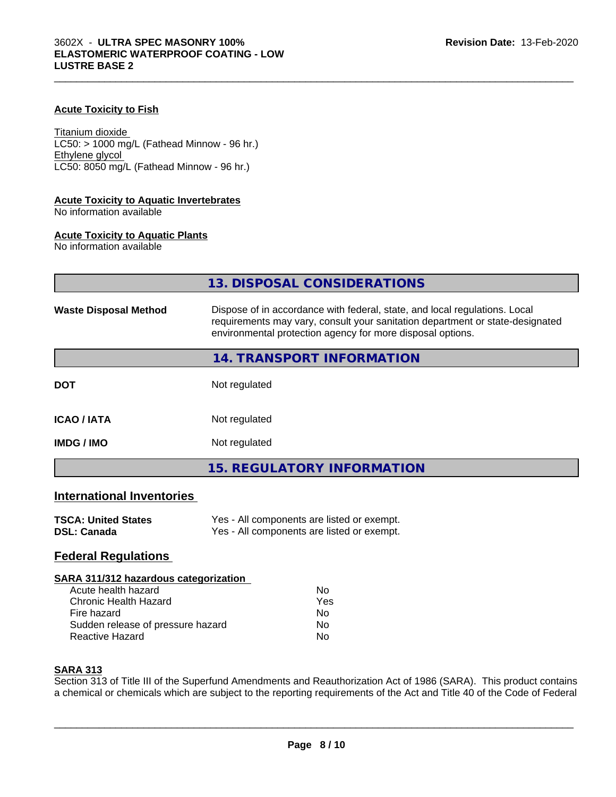### **Acute Toxicity to Fish**

Titanium dioxide  $LC50:$  > 1000 mg/L (Fathead Minnow - 96 hr.) Ethylene glycol LC50: 8050 mg/L (Fathead Minnow - 96 hr.)

### **Acute Toxicity to Aquatic Invertebrates**

No information available

### **Acute Toxicity to Aquatic Plants**

No information available

|                                  | 13. DISPOSAL CONSIDERATIONS                                                                                                                                                                                               |
|----------------------------------|---------------------------------------------------------------------------------------------------------------------------------------------------------------------------------------------------------------------------|
| <b>Waste Disposal Method</b>     | Dispose of in accordance with federal, state, and local regulations. Local<br>requirements may vary, consult your sanitation department or state-designated<br>environmental protection agency for more disposal options. |
|                                  | 14. TRANSPORT INFORMATION                                                                                                                                                                                                 |
| <b>DOT</b>                       | Not regulated                                                                                                                                                                                                             |
| <b>ICAO/IATA</b>                 | Not regulated                                                                                                                                                                                                             |
| <b>IMDG / IMO</b>                | Not regulated                                                                                                                                                                                                             |
|                                  | <b>15. REGULATORY INFORMATION</b>                                                                                                                                                                                         |
| <b>International Inventories</b> |                                                                                                                                                                                                                           |

### **TSCA: United States** Yes - All components are listed or exempt.<br> **DSL: Canada** Yes - All components are listed or exempt. Yes - All components are listed or exempt.

### **Federal Regulations**

### **SARA 311/312 hazardous categorization**

| Acute health hazard               | Nο  |
|-----------------------------------|-----|
| Chronic Health Hazard             | Yes |
| Fire hazard                       | Nο  |
| Sudden release of pressure hazard | Nο  |
| Reactive Hazard                   | Nο  |

### **SARA 313**

Section 313 of Title III of the Superfund Amendments and Reauthorization Act of 1986 (SARA). This product contains a chemical or chemicals which are subject to the reporting requirements of the Act and Title 40 of the Code of Federal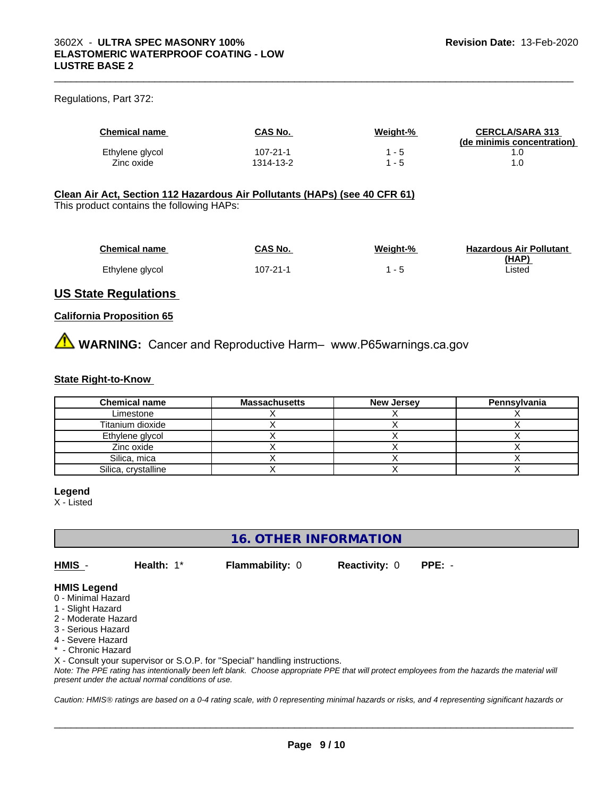### Regulations, Part 372:

| <b>Chemical name</b> | CAS No.   | Weight-% | <b>CERCLA/SARA 313</b><br>(de minimis concentration) |
|----------------------|-----------|----------|------------------------------------------------------|
| Ethylene glycol      | 107-21-1  | - 5      |                                                      |
| Zinc oxide           | 1314-13-2 | - 5      |                                                      |

 $\_$  ,  $\_$  ,  $\_$  ,  $\_$  ,  $\_$  ,  $\_$  ,  $\_$  ,  $\_$  ,  $\_$  ,  $\_$  ,  $\_$  ,  $\_$  ,  $\_$  ,  $\_$  ,  $\_$  ,  $\_$  ,  $\_$  ,  $\_$  ,  $\_$  ,  $\_$  ,  $\_$  ,  $\_$  ,  $\_$  ,  $\_$  ,  $\_$  ,  $\_$  ,  $\_$  ,  $\_$  ,  $\_$  ,  $\_$  ,  $\_$  ,  $\_$  ,  $\_$  ,  $\_$  ,  $\_$  ,  $\_$  ,  $\_$  ,

### **Clean Air Act,Section 112 Hazardous Air Pollutants (HAPs) (see 40 CFR 61)**

This product contains the following HAPs:

| <b>Chemical name</b> | CAS No.  | Weight-% | <b>Hazardous Air Pollutant</b> |
|----------------------|----------|----------|--------------------------------|
|                      |          |          | (HAP)                          |
| Ethylene glycol      | 107-21-1 |          | Listed                         |

# **US State Regulations**

### **California Proposition 65**

**AVIMARNING:** Cancer and Reproductive Harm– www.P65warnings.ca.gov

### **State Right-to-Know**

| <b>Chemical name</b> | <b>Massachusetts</b> | <b>New Jersey</b> | Pennsylvania |
|----------------------|----------------------|-------------------|--------------|
| Limestone            |                      |                   |              |
| Titanium dioxide     |                      |                   |              |
| Ethylene glycol      |                      |                   |              |
| Zinc oxide           |                      |                   |              |
| Silica, mica         |                      |                   |              |
| Silica, crystalline  |                      |                   |              |

### **Legend**

X - Listed

# **16. OTHER INFORMATION**

**HMIS** - **Health:** 1\* **Flammability:** 0 **Reactivity:** 0 **PPE:** -

 $\overline{\phantom{a}}$  ,  $\overline{\phantom{a}}$  ,  $\overline{\phantom{a}}$  ,  $\overline{\phantom{a}}$  ,  $\overline{\phantom{a}}$  ,  $\overline{\phantom{a}}$  ,  $\overline{\phantom{a}}$  ,  $\overline{\phantom{a}}$  ,  $\overline{\phantom{a}}$  ,  $\overline{\phantom{a}}$  ,  $\overline{\phantom{a}}$  ,  $\overline{\phantom{a}}$  ,  $\overline{\phantom{a}}$  ,  $\overline{\phantom{a}}$  ,  $\overline{\phantom{a}}$  ,  $\overline{\phantom{a}}$ 

### **HMIS Legend**

- 0 Minimal Hazard
- 1 Slight Hazard
- 2 Moderate Hazard
- 3 Serious Hazard
- 4 Severe Hazard
- \* Chronic Hazard

X - Consult your supervisor or S.O.P. for "Special" handling instructions.

*Note: The PPE rating has intentionally been left blank. Choose appropriate PPE that will protect employees from the hazards the material will present under the actual normal conditions of use.*

*Caution: HMISÒ ratings are based on a 0-4 rating scale, with 0 representing minimal hazards or risks, and 4 representing significant hazards or*